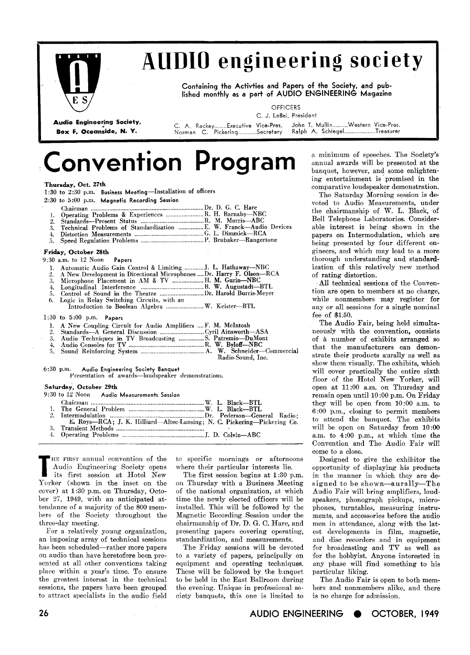

**Thursday, Oct. 27th** 

## **AUDIO engineering society**

Containing the Activties and Papers of the Society, and published monthly as a part of AUDIO ENGINEERING Magazine

**OFFICERS** 

**Audio Engineering Society, C. A. Rackey** ........ **Executive Vice-Pres. John** T. **Mull~in** .......... **Western Vice-Pres.** 

**C. J. LeBel, President B. P., Pickering............**Secretary

# Convention Program

|                                  | 1:30 to 2:30 p.m. Business Meeting-Installation of officers                                                                                                                                                                                                                              |
|----------------------------------|------------------------------------------------------------------------------------------------------------------------------------------------------------------------------------------------------------------------------------------------------------------------------------------|
|                                  | 2:30 to 5:00 p.m. Magnetic Recording Session                                                                                                                                                                                                                                             |
| ı.<br>2.<br>3.<br>4.<br>5.       | Operating Problems & Experiences  R. H. Barnaby-NBC<br>Technical Problems of Standardization  E. W. Franck-Audio Devices                                                                                                                                                                 |
|                                  | Friday, October 28th                                                                                                                                                                                                                                                                     |
|                                  | 9:30 a.m. to 12 Noon Papers                                                                                                                                                                                                                                                              |
| 1.<br>2.<br>3.<br>4.<br>5.<br>6. | Automatic Audio Gain Control & Limiting  J. L. Hathaway-NBC<br>A New Development in Directional Microphones  Dr. Harry F. Olson-RCA<br>Microphone Placement in AM & TV  H. M. Gurin-NBC<br>Logic in Relay Switching Circuits, with an<br>Introduction to Boolean Algebra  W. Keister-BTL |
|                                  | $1:30$ to $5:00$ p.m. Papers                                                                                                                                                                                                                                                             |
| Ł.<br>2.<br>3.<br>4.<br>5.       | A New Coupling Circuit for Audio Amplifiers  F. M. McIntosh<br>Audio Techniques in TV Broadcasting S. Patremio-DuMont<br>Radio-Sound, Inc.                                                                                                                                               |
|                                  | 6:30 p.m. Audio Engineering Society Banquet<br>Presentation of awards-loudspeaker demonstrations.                                                                                                                                                                                        |
| Saturday, October 29th           |                                                                                                                                                                                                                                                                                          |
|                                  | 9:30 to 12 Noon Audio Measurements Session                                                                                                                                                                                                                                               |
|                                  |                                                                                                                                                                                                                                                                                          |
|                                  |                                                                                                                                                                                                                                                                                          |
| $2 -$                            | E. Roys-RCA; J. K. Hilliard-Altec-Lansing; N. C. Pickering-Pickering Co.                                                                                                                                                                                                                 |
| $\mathbf{3}$                     | <b>Transient Methods</b>                                                                                                                                                                                                                                                                 |

**3. Transient Methods** ........................................................ **3. Operating Problems** .................................................... **J. D. Colvin-ABC** 

THE FIRST annual convention of the Audio Engineering Society opens its first session at Hotel New Audio Engineering Society opens its first session at Hotel New Yorker (shown in the inset on the corer) at 1 **:30** p.m. on Thursday, October *27,* **1949,** with an anticipated attendance of a majority of the **800** members of the Society throughout the three-day meeting.

For a relatively young organization, an imposing array of technical sessions has been scheduled-rather more papers on audio than have heretofore been presented at all other conventions taking place within a year's time. To ensure the greatest interest in the technical sessions, the papers have been grouped to attract specialists in the audio field

tc specific mornings or afternoons where their particular interests lie.

The first session begins at **l:30** p.m. on Thursday with a Business Meeting of the national organization, at which time the newly elected officers will be installed. This will be followed by the Nagnetic Recording Session under the chairmanship of Dr. D. G. C. Hare, and presenting papers covering operating, standardization, and measurements.

The Friday sessions will be devoted to a variety of papers, principally on equipment and operating techniques. These will be followed by the banquet to be held in the East Ballroom during the evening. Unique in professional society banquets, this one is limited to a minimum of speeches. The Society's annual awards will be presented at the banquet, however, and some enlightening entertainment is promised in the comparative loudspeaker demonstration.

The Saturday Morning session is devoted to Audio Measurements, under the chairmanship of W. L. Black, of Bell Telephone Laboratories. Considerable interest is being shown in the papers on Intermodulation, which are being presented by four different engineers, and which may lead to a more thorough understanding and standardization of this relatively new method of rating distortion.

All technical sessions of the Convention are open to members at no charge, while nonmembers may register for any or all sessions for a single nominal fee of **\$1.50.** 

The Audio Fair, being held simultaneously with the convention, consists of a number of exhibits arranged so that the manufacturers can demonstrate their products aurally as well as show them visually. The exhibits, which will cover practically the entire sixth floor of the Hotel New Yorker, will open at **11:00** a.m. on Thursday and remain open until **10 :00** p.m. On Friday they will be open from **10:00** a.m. to **6:00** p.m., closing to permit members to attend the banquet. The exhibits will be open on Saturday from **10:OO** a.m. to **4:00** p.m., at which time the Convention and The Audio Fair will come to a close.

Designed to give the exhibitor the opportunity of displaying his products in the manner in which they are designed to be shown-aurally-The Audio Fair will bring amplifiers, loudspeakers, phonograph pickups, microphones, turntables, measuring instruments, and accessories before the audio men in attendance, along with the latest developments in film, magnetic, and disc recorders and in equipment for broadcasting and TV as well as for the hobbyist. Anyone interested in any phase will find something to his particular liking.

The Audio Fair is open to both members and nonmembers alike, and there is no charge for admission.

AUDIO ENGINEERING OCTOBER, **1949**